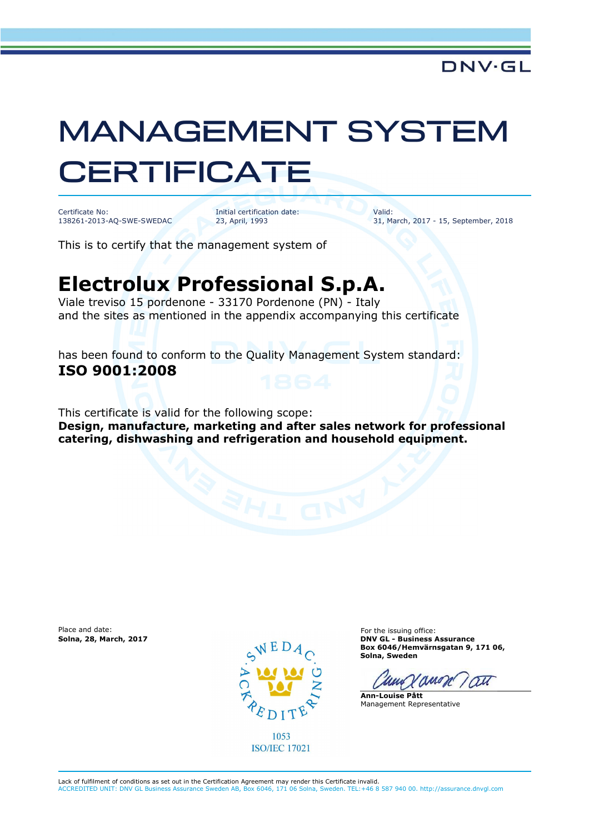## MANAGEMENT SYSTEM **CERTIFICATE**

Certificate No: 138261-2013-AQ-SWE-SWEDAC Initial certification date: 23, April, 1993

Valid: 31, March, 2017 - 15, September, 2018

This is to certify that the management system of

## **Electrolux Professional S.p.A.**

Viale treviso 15 pordenone - 33170 Pordenone (PN) - Italy and the sites as mentioned in the appendix accompanying this certificate

has been found to conform to the Quality Management System standard: **ISO 9001:2008**

This certificate is valid for the following scope:

**Design, manufacture, marketing and after sales network for professional catering, dishwashing and refrigeration and household equipment.** 

Place and date: For the issuing office:<br> **Solna, 28, March, 2017** Contract Contract Contract Contract Contract Contract Contract Contract Contract Contra<br> **Solna, 28, March, 2017** Contract Contract Contract Contract Contra



1053 **ISO/IEC 17021** 

**Solna, 28, March, 2017 DNV GL - Business Assurance Box 6046/Hemvärnsgatan 9, 171 06, Solna, Sweden** 

anon au

**Ann-Louise Pått** Management Representative

Lack of fulfilment of conditions as set out in the Certification Agreement may render this Certificate invalid. ACCREDITED UNIT: DNV GL Business Assurance Sweden AB, Box 6046, 171 06 Solna, Sweden. TEL:+46 8 587 940 00. http://assurance.dnvgl.com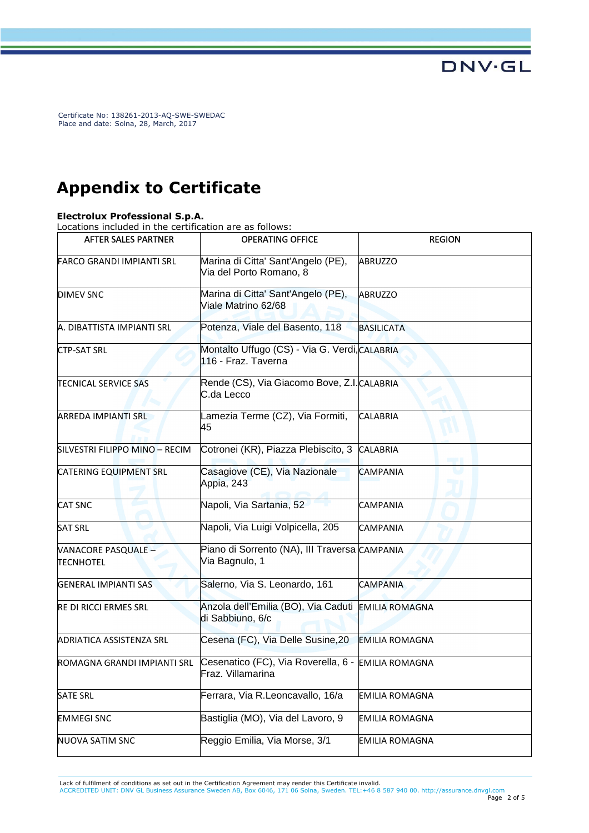## **Appendix to Certificate**

## **Electrolux Professional S.p.A.**

Locations included in the certification are as follows:

| <b>AFTER SALES PARTNER</b>              | <b>OPERATING OFFICE</b>                                                 | <b>REGION</b>         |
|-----------------------------------------|-------------------------------------------------------------------------|-----------------------|
| <b>FARCO GRANDI IMPIANTI SRL</b>        | Marina di Citta' Sant'Angelo (PE),<br>Via del Porto Romano, 8           | <b>ABRUZZO</b>        |
| <b>DIMEV SNC</b>                        | Marina di Citta' Sant'Angelo (PE),<br>Viale Matrino 62/68               | <b>ABRUZZO</b>        |
| A. DIBATTISTA IMPIANTI SRL              | Potenza, Viale del Basento, 118                                         | <b>BASILICATA</b>     |
| <b>CTP-SAT SRL</b>                      | Montalto Uffugo (CS) - Via G. Verdi, CALABRIA<br>116 - Fraz. Taverna    |                       |
| <b>TECNICAL SERVICE SAS</b>             | Rende (CS), Via Giacomo Bove, Z.I. CALABRIA<br>C.da Lecco               |                       |
| <b>ARREDA IMPIANTI SRL</b>              | Lamezia Terme (CZ), Via Formiti,<br>45                                  | <b>CALABRIA</b>       |
| SILVESTRI FILIPPO MINO - RECIM          | Cotronei (KR), Piazza Plebiscito, 3                                     | <b>CALABRIA</b>       |
| <b>CATERING EQUIPMENT SRL</b>           | Casagiove (CE), Via Nazionale<br>Appia, 243                             | <b>CAMPANIA</b>       |
| <b>CAT SNC</b>                          | Napoli, Via Sartania, 52                                                | <b>CAMPANIA</b>       |
| <b>SAT SRL</b>                          | Napoli, Via Luigi Volpicella, 205                                       | <b>CAMPANIA</b>       |
| VANACORE PASQUALE -<br><b>TECNHOTEL</b> | Piano di Sorrento (NA), III Traversa CAMPANIA<br>Via Bagnulo, 1         |                       |
| <b>GENERAL IMPIANTI SAS</b>             | Salerno, Via S. Leonardo, 161                                           | <b>CAMPANIA</b>       |
| <b>RE DI RICCI ERMES SRL</b>            | Anzola dell'Emilia (BO), Via Caduti EMILIA ROMAGNA<br>di Sabbiuno, 6/c  |                       |
| ADRIATICA ASSISTENZA SRL                | Cesena (FC), Via Delle Susine, 20                                       | <b>EMILIA ROMAGNA</b> |
| ROMAGNA GRANDI IMPIANTI SRL             | Cesenatico (FC), Via Roverella, 6 - EMILIA ROMAGNA<br>Fraz. Villamarina |                       |
| <b>SATE SRL</b>                         | Ferrara, Via R.Leoncavallo, 16/a                                        | EMILIA ROMAGNA        |
| <b>EMMEGI SNC</b>                       | Bastiglia (MO), Via del Lavoro, 9                                       | EMILIA ROMAGNA        |
| <b>NUOVA SATIM SNC</b>                  | Reggio Emilia, Via Morse, 3/1                                           | <b>EMILIA ROMAGNA</b> |

Lack of fulfilment of conditions as set out in the Certification Agreement may render this Certificate invalid.

ACCREDITED UNIT: DNV GL Business Assurance Sweden AB, Box 6046, 171 06 Solna, Sweden. TEL:+46 8 587 940 00. http://assurance.dnvgl.com Page 2 of 5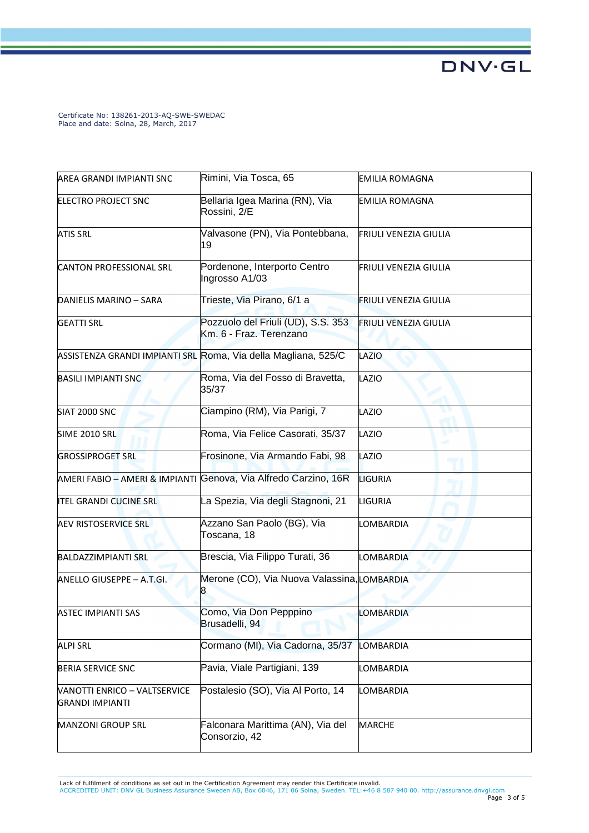| AREA GRANDI IMPIANTI SNC                               | Rimini, Via Tosca, 65                                           | <b>EMILIA ROMAGNA</b>        |
|--------------------------------------------------------|-----------------------------------------------------------------|------------------------------|
| <b>ELECTRO PROJECT SNC</b>                             | Bellaria Igea Marina (RN), Via<br>Rossini, 2/E                  | <b>EMILIA ROMAGNA</b>        |
| <b>ATIS SRL</b>                                        | Valvasone (PN), Via Pontebbana,<br>19                           | <b>FRIULI VENEZIA GIULIA</b> |
| <b>CANTON PROFESSIONAL SRL</b>                         | Pordenone, Interporto Centro<br>Ingrosso A1/03                  | FRIULI VENEZIA GIULIA        |
| DANIELIS MARINO - SARA                                 | Trieste, Via Pirano, 6/1 a                                      | <b>FRIULI VENEZIA GIULIA</b> |
| <b>GEATTI SRL</b>                                      | Pozzuolo del Friuli (UD), S.S. 353<br>Km. 6 - Fraz. Terenzano   | <b>FRIULI VENEZIA GIULIA</b> |
|                                                        | ASSISTENZA GRANDI IMPIANTI SRL Roma, Via della Magliana, 525/C  | LAZIO                        |
| <b>BASILI IMPIANTI SNC</b>                             | Roma, Via del Fosso di Bravetta,<br>35/37                       | LAZIO                        |
| SIAT 2000 SNC                                          | Ciampino (RM), Via Parigi, 7                                    | LAZIO                        |
| SIME 2010 SRL                                          | Roma, Via Felice Casorati, 35/37                                | LAZIO                        |
| <b>GROSSIPROGET SRL</b>                                | Frosinone, Via Armando Fabi, 98                                 | LAZIO                        |
|                                                        | AMERI FABIO - AMERI & IMPIANTI Genova, Via Alfredo Carzino, 16R | <b>LIGURIA</b>               |
| <b>ITEL GRANDI CUCINE SRL</b>                          | La Spezia, Via degli Stagnoni, 21                               | LIGURIA                      |
| <b>AEV RISTOSERVICE SRL</b>                            | Azzano San Paolo (BG), Via<br>Toscana, 18                       | LOMBARDIA                    |
| <b>BALDAZZIMPIANTI SRL</b>                             | Brescia, Via Filippo Turati, 36                                 | <b>LOMBARDIA</b>             |
| ANELLO GIUSEPPE - A.T.GI.                              | Merone (CO), Via Nuova Valassina, LOMBARDIA                     |                              |
| JASTEC IMPIANTI SAS                                    | Como, Via Don Pepppino<br>Brusadelli, 94                        | LOMBARDIA                    |
| <b>ALPI SRL</b>                                        | Cormano (MI), Via Cadorna, 35/37                                | LOMBARDIA                    |
| <b>BERIA SERVICE SNC</b>                               | Pavia, Viale Partigiani, 139                                    | LOMBARDIA                    |
| VANOTTI ENRICO – VALTSERVICE<br><b>GRANDI IMPIANTI</b> | Postalesio (SO), Via Al Porto, 14                               | LOMBARDIA                    |
| MANZONI GROUP SRL                                      | Falconara Marittima (AN), Via del<br>Consorzio, 42              | <b>MARCHE</b>                |

Lack of fulfilment of conditions as set out in the Certification Agreement may render this Certificate invalid.<br>ACCREDITED UNIT: DNV GL Business Assurance Sweden AB, Box 6046, 171 06 Solna, Sweden. TEL:+46 8 587 940 00. ht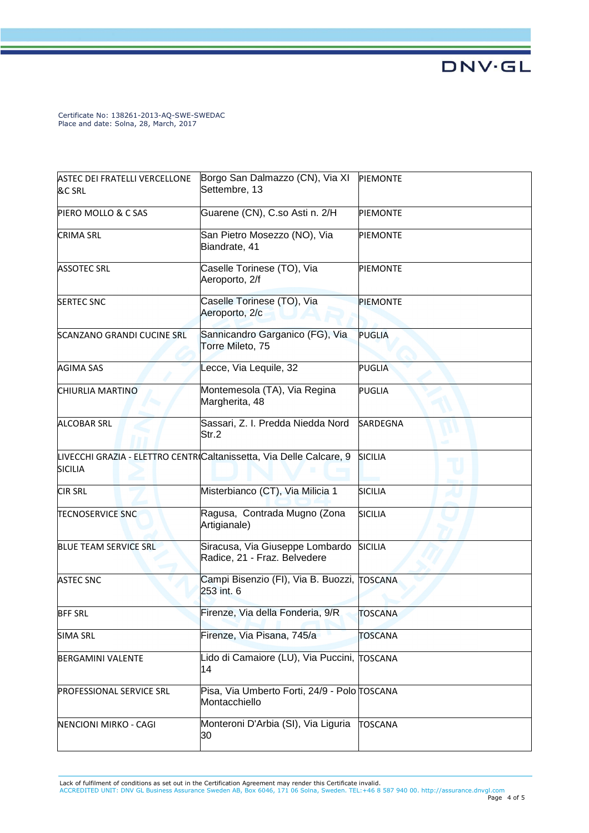| <b>ASTEC DEI FRATELLI VERCELLONE</b> | Borgo San Dalmazzo (CN), Via XI                                      | <b>PIEMONTE</b> |
|--------------------------------------|----------------------------------------------------------------------|-----------------|
| &C SRL                               | Settembre, 13                                                        |                 |
|                                      |                                                                      |                 |
| PIERO MOLLO & C SAS                  | Guarene (CN), C.so Asti n. 2/H                                       | <b>PIEMONTE</b> |
| <b>CRIMA SRL</b>                     | San Pietro Mosezzo (NO), Via                                         | <b>PIEMONTE</b> |
|                                      | Biandrate, 41                                                        |                 |
|                                      | Caselle Torinese (TO), Via                                           | <b>PIEMONTE</b> |
| <b>ASSOTEC SRL</b>                   | Aeroporto, 2/f                                                       |                 |
| <b>SERTEC SNC</b>                    | Caselle Torinese (TO), Via                                           | <b>PIEMONTE</b> |
|                                      | Aeroporto, 2/c                                                       |                 |
| SCANZANO GRANDI CUCINE SRL           | Sannicandro Garganico (FG), Via                                      | <b>PUGLIA</b>   |
|                                      | Torre Mileto, 75                                                     |                 |
| <b>AGIMA SAS</b>                     | Lecce, Via Lequile, 32                                               | <b>PUGLIA</b>   |
|                                      |                                                                      |                 |
| CHIURLIA MARTINO                     | Montemesola (TA), Via Regina<br>Margherita, 48                       | <b>PUGLIA</b>   |
| <b>ALCOBAR SRL</b>                   | Sassari, Z. I. Predda Niedda Nord                                    | <b>SARDEGNA</b> |
|                                      | Str.2                                                                |                 |
|                                      | LIVECCHI GRAZIA - ELETTRO CENTRO Caltanissetta, Via Delle Calcare, 9 | <b>SICILIA</b>  |
| <b>SICILIA</b>                       |                                                                      |                 |
| <b>CIR SRL</b>                       | Misterbianco (CT), Via Milicia 1                                     | <b>SICILIA</b>  |
| <b>TECNOSERVICE SNC</b>              | Ragusa, Contrada Mugno (Zona<br>Artigianale)                         | <b>SICILIA</b>  |
| <b>BLUE TEAM SERVICE SRL</b>         | Siracusa, Via Giuseppe Lombardo                                      | <b>SICILIA</b>  |
|                                      | Radice, 21 - Fraz. Belvedere                                         |                 |
| <b>ASTEC SNC</b>                     | Campi Bisenzio (FI), Via B. Buozzi, TOSCANA                          |                 |
|                                      | 253 int. 6                                                           |                 |
|                                      |                                                                      |                 |
| <b>BFF SRL</b>                       | Firenze, Via della Fonderia, 9/R                                     | <b>TOSCANA</b>  |
| <b>SIMA SRL</b>                      | Firenze, Via Pisana, 745/a                                           | TOSCANA         |
| <b>BERGAMINI VALENTE</b>             | Lido di Camaiore (LU), Via Puccini, TOSCANA                          |                 |
|                                      | 14                                                                   |                 |
| PROFESSIONAL SERVICE SRL             | Pisa, Via Umberto Forti, 24/9 - Polo TOSCANA                         |                 |
|                                      | Montacchiello                                                        |                 |
| NENCIONI MIRKO - CAGI                | Monteroni D'Arbia (SI), Via Liguria                                  | <b>TOSCANA</b>  |
|                                      | 30                                                                   |                 |
|                                      |                                                                      |                 |

Lack of fulfilment of conditions as set out in the Certification Agreement may render this Certificate invalid.<br>ACCREDITED UNIT: DNV GL Business Assurance Sweden AB, Box 6046, 171 06 Solna, Sweden. TEL:+46 8 587 940 00. ht